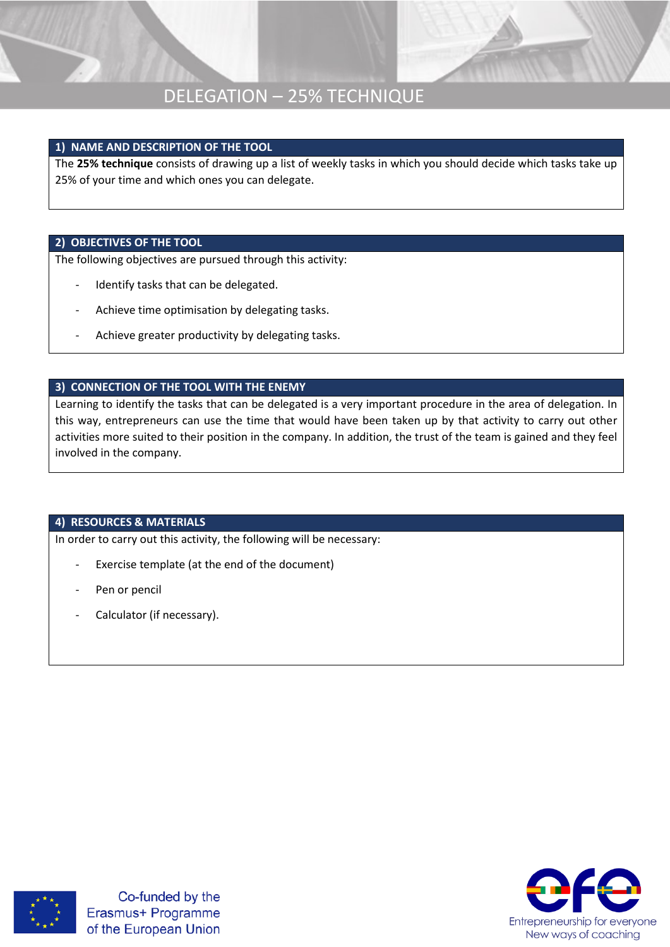### DELEGATION – 25% TECHNIQUE

#### **1) NAME AND DESCRIPTION OF THE TOOL**

The **25% technique** consists of drawing up a list of weekly tasks in which you should decide which tasks take up 25% of your time and which ones you can delegate.

#### **2) OBJECTIVES OF THE TOOL**

The following objectives are pursued through this activity:

- Identify tasks that can be delegated.
- Achieve time optimisation by delegating tasks.
- Achieve greater productivity by delegating tasks.

#### **3) CONNECTION OF THE TOOL WITH THE ENEMY**

Learning to identify the tasks that can be delegated is a very important procedure in the area of delegation. In this way, entrepreneurs can use the time that would have been taken up by that activity to carry out other activities more suited to their position in the company. In addition, the trust of the team is gained and they feel involved in the company.

#### **4) RESOURCES & MATERIALS**

In order to carry out this activity, the following will be necessary:

- Exercise template (at the end of the document)
- Pen or pencil
- Calculator (if necessary).



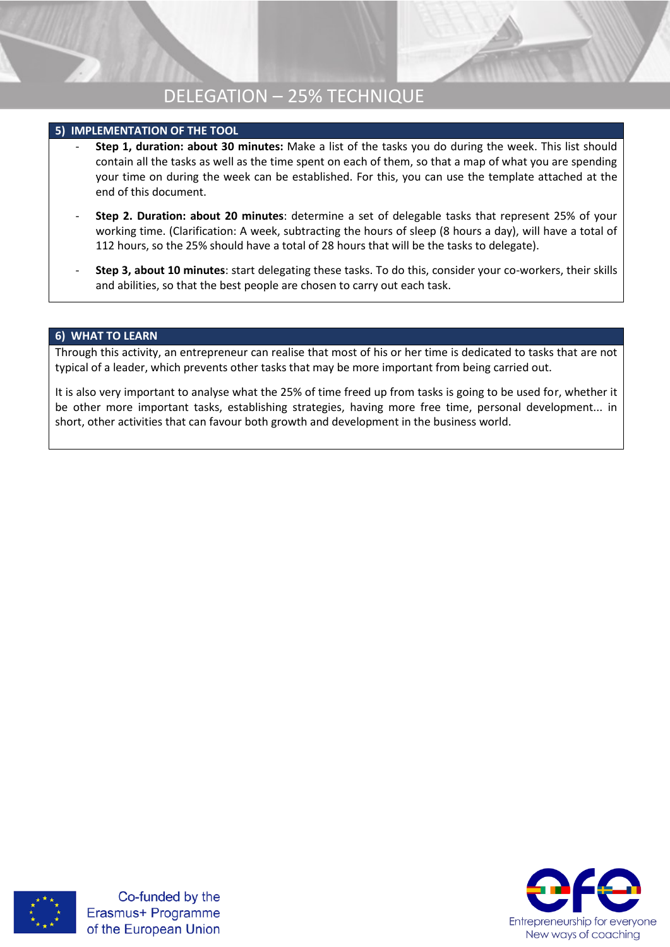## DELEGATION – 25% TECHNIQUE

#### **5) IMPLEMENTATION OF THE TOOL**

- **Step 1, duration: about 30 minutes:** Make a list of the tasks you do during the week. This list should contain all the tasks as well as the time spent on each of them, so that a map of what you are spending your time on during the week can be established. For this, you can use the template attached at the end of this document.
- **Step 2. Duration: about 20 minutes**: determine a set of delegable tasks that represent 25% of your working time. (Clarification: A week, subtracting the hours of sleep (8 hours a day), will have a total of 112 hours, so the 25% should have a total of 28 hours that will be the tasks to delegate).
- **Step 3, about 10 minutes**: start delegating these tasks. To do this, consider your co-workers, their skills and abilities, so that the best people are chosen to carry out each task.

#### **6) WHAT TO LEARN**

Through this activity, an entrepreneur can realise that most of his or her time is dedicated to tasks that are not typical of a leader, which prevents other tasks that may be more important from being carried out.

It is also very important to analyse what the 25% of time freed up from tasks is going to be used for, whether it be other more important tasks, establishing strategies, having more free time, personal development... in short, other activities that can favour both growth and development in the business world.



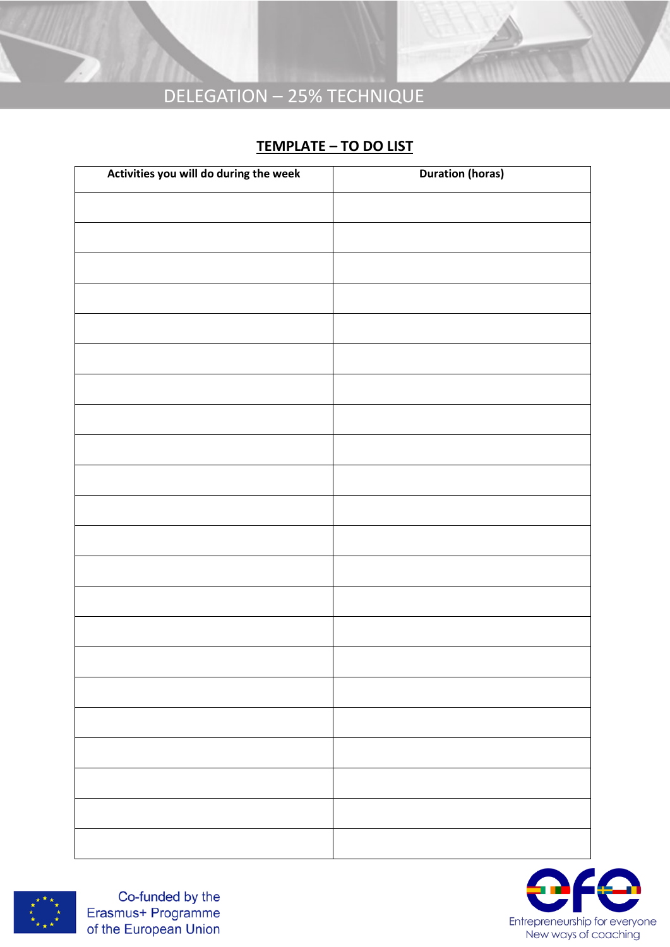# DELEGATION – 25% TECHNIQUE

### **TEMPLATE – TO DO LIST**

| Activities you will do during the week | <b>Duration (horas)</b> |
|----------------------------------------|-------------------------|
|                                        |                         |
|                                        |                         |
|                                        |                         |
|                                        |                         |
|                                        |                         |
|                                        |                         |
|                                        |                         |
|                                        |                         |
|                                        |                         |
|                                        |                         |
|                                        |                         |
|                                        |                         |
|                                        |                         |
|                                        |                         |
|                                        |                         |
|                                        |                         |
|                                        |                         |
|                                        |                         |
|                                        |                         |
|                                        |                         |
|                                        |                         |
|                                        |                         |
|                                        |                         |
|                                        |                         |
|                                        |                         |